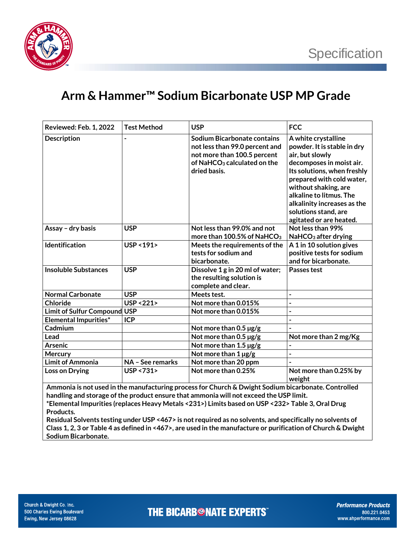

## **Arm & Hammer™ Sodium Bicarbonate USP MP Grade**

| Reviewed: Feb. 1, 2022                                                                                                                                                                        | <b>Test Method</b>      | <b>USP</b>                                                                                                                                                     | <b>FCC</b>                                                                                                                                                                                                                                                                                         |  |  |
|-----------------------------------------------------------------------------------------------------------------------------------------------------------------------------------------------|-------------------------|----------------------------------------------------------------------------------------------------------------------------------------------------------------|----------------------------------------------------------------------------------------------------------------------------------------------------------------------------------------------------------------------------------------------------------------------------------------------------|--|--|
| <b>Description</b>                                                                                                                                                                            |                         | <b>Sodium Bicarbonate contains</b><br>not less than 99.0 percent and<br>not more than 100.5 percent<br>of NaHCO <sub>3</sub> calculated on the<br>dried basis. | A white crystalline<br>powder. It is stable in dry<br>air, but slowly<br>decomposes in moist air.<br>Its solutions, when freshly<br>prepared with cold water,<br>without shaking, are<br>alkaline to litmus. The<br>alkalinity increases as the<br>solutions stand, are<br>agitated or are heated. |  |  |
| Assay - dry basis                                                                                                                                                                             | <b>USP</b>              | Not less than 99.0% and not<br>more than 100.5% of NaHCO <sub>3</sub>                                                                                          | Not less than 99%<br>NaHCO <sub>3</sub> after drying                                                                                                                                                                                                                                               |  |  |
| <b>Identification</b>                                                                                                                                                                         | <b>USP &lt; 191&gt;</b> | Meets the requirements of the<br>tests for sodium and<br>bicarbonate.                                                                                          | A 1 in 10 solution gives<br>positive tests for sodium<br>and for bicarbonate.                                                                                                                                                                                                                      |  |  |
| <b>Insoluble Substances</b>                                                                                                                                                                   | <b>USP</b>              | Dissolve 1 g in 20 ml of water;<br>the resulting solution is<br>complete and clear.                                                                            | Passes test                                                                                                                                                                                                                                                                                        |  |  |
| <b>Normal Carbonate</b>                                                                                                                                                                       | <b>USP</b>              | Meets test.                                                                                                                                                    | $\overline{\phantom{0}}$                                                                                                                                                                                                                                                                           |  |  |
| <b>Chloride</b>                                                                                                                                                                               | <b>USP &lt;221&gt;</b>  | Not more than 0.015%                                                                                                                                           | $\overline{a}$                                                                                                                                                                                                                                                                                     |  |  |
| Limit of Sulfur Compound USP                                                                                                                                                                  |                         | Not more than 0.015%                                                                                                                                           |                                                                                                                                                                                                                                                                                                    |  |  |
| <b>Elemental Impurities*</b>                                                                                                                                                                  | <b>ICP</b>              |                                                                                                                                                                |                                                                                                                                                                                                                                                                                                    |  |  |
| Cadmium                                                                                                                                                                                       |                         | Not more than $0.5 \,\mathrm{\mu g/g}$                                                                                                                         |                                                                                                                                                                                                                                                                                                    |  |  |
| Lead                                                                                                                                                                                          |                         | Not more than $0.5 \,\mathrm{\mu g/g}$                                                                                                                         | Not more than 2 mg/Kg                                                                                                                                                                                                                                                                              |  |  |
| <b>Arsenic</b>                                                                                                                                                                                |                         | Not more than 1.5 µg/g                                                                                                                                         |                                                                                                                                                                                                                                                                                                    |  |  |
| Mercury                                                                                                                                                                                       |                         | Not more than $1 \mu g/g$                                                                                                                                      |                                                                                                                                                                                                                                                                                                    |  |  |
| <b>Limit of Ammonia</b>                                                                                                                                                                       | NA - See remarks        | Not more than 20 ppm                                                                                                                                           |                                                                                                                                                                                                                                                                                                    |  |  |
| Loss on Drying                                                                                                                                                                                | <b>USP &lt;731&gt;</b>  | Not more than 0.25%                                                                                                                                            | Not more than 0.25% by<br>weight                                                                                                                                                                                                                                                                   |  |  |
| Ammonia is not used in the manufacturing process for Church & Dwight Sodium bicarbonate. Controlled<br>handling and storage of the product ensure that ammonia will not exceed the USP limit. |                         |                                                                                                                                                                |                                                                                                                                                                                                                                                                                                    |  |  |

**\*Elemental Impurities (replaces Heavy Metals <231>) Limits based on USP <232> Table 3, Oral Drug Products.** 

**Residual Solvents testing under USP <467> is not required as no solvents, and specifically no solvents of Class 1, 2, 3 or Table 4 as defined in <467>, are used in the manufacture or purification of Church & Dwight Sodium Bicarbonate.**

**THE BICARB<sup>®</sup>NATE EXPERTS**